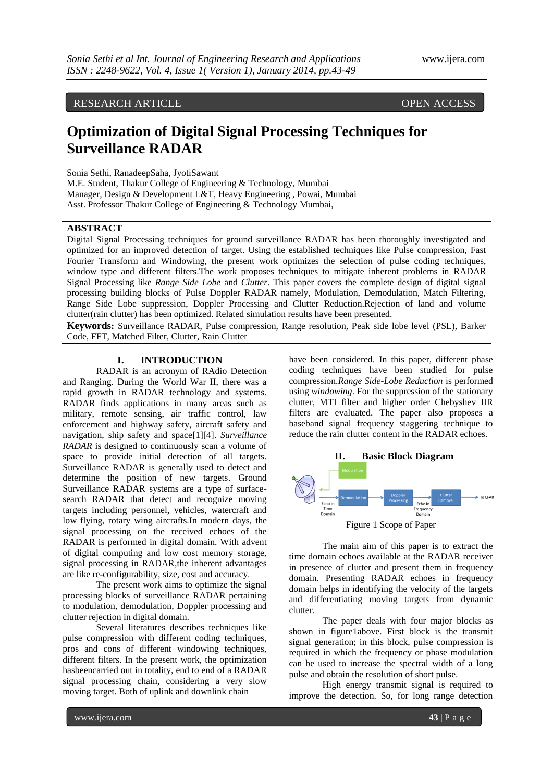RESEARCH ARTICLE OPEN ACCESS

# **Optimization of Digital Signal Processing Techniques for Surveillance RADAR**

Sonia Sethi, RanadeepSaha, JyotiSawant

M.E. Student, Thakur College of Engineering & Technology, Mumbai Manager, Design & Development L&T, Heavy Engineering , Powai, Mumbai Asst. Professor Thakur College of Engineering & Technology Mumbai,

# **ABSTRACT**

Digital Signal Processing techniques for ground surveillance RADAR has been thoroughly investigated and optimized for an improved detection of target. Using the established techniques like Pulse compression, Fast Fourier Transform and Windowing, the present work optimizes the selection of pulse coding techniques, window type and different filters.The work proposes techniques to mitigate inherent problems in RADAR Signal Processing like *Range Side Lobe* and *Clutter*. This paper covers the complete design of digital signal processing building blocks of Pulse Doppler RADAR namely, Modulation, Demodulation, Match Filtering, Range Side Lobe suppression, Doppler Processing and Clutter Reduction.Rejection of land and volume clutter(rain clutter) has been optimized. Related simulation results have been presented.

**Keywords:** Surveillance RADAR, Pulse compression, Range resolution, Peak side lobe level (PSL), Barker Code, FFT, Matched Filter, Clutter, Rain Clutter

# **I. INTRODUCTION**

RADAR is an acronym of RAdio Detection and Ranging. During the World War II, there was a rapid growth in RADAR technology and systems. RADAR finds applications in many areas such as military, remote sensing, air traffic control, law enforcement and highway safety, aircraft safety and navigation, ship safety and space[1][4]. *Surveillance RADAR* is designed to continuously scan a volume of space to provide initial detection of all targets. Surveillance RADAR is generally used to detect and determine the position of new targets. Ground Surveillance RADAR systems are a type of surfacesearch RADAR that detect and recognize moving targets including personnel, vehicles, watercraft and low flying, rotary wing aircrafts.In modern days, the signal processing on the received echoes of the RADAR is performed in digital domain. With advent of digital computing and low cost memory storage, signal processing in RADAR,the inherent advantages are like re-configurability, size, cost and accuracy.

The present work aims to optimize the signal processing blocks of surveillance RADAR pertaining to modulation, demodulation, Doppler processing and clutter rejection in digital domain.

Several literatures describes techniques like pulse compression with different coding techniques, pros and cons of different windowing techniques, different filters. In the present work, the optimization hasbeencarried out in totality, end to end of a RADAR signal processing chain, considering a very slow moving target. Both of uplink and downlink chain

have been considered. In this paper, different phase coding techniques have been studied for pulse compression.*Range Side-Lobe Reduction* is performed using *windowing*. For the suppression of the stationary clutter, MTI filter and higher order Chebyshev IIR filters are evaluated. The paper also proposes a baseband signal frequency staggering technique to reduce the rain clutter content in the RADAR echoes.



The main aim of this paper is to extract the time domain echoes available at the RADAR receiver in presence of clutter and present them in frequency domain. Presenting RADAR echoes in frequency domain helps in identifying the velocity of the targets and differentiating moving targets from dynamic clutter.

The paper deals with four major blocks as shown in figure1above. First block is the transmit signal generation; in this block, pulse compression is required in which the frequency or phase modulation can be used to increase the spectral width of a long pulse and obtain the resolution of short pulse.

High energy transmit signal is required to improve the detection. So, for long range detection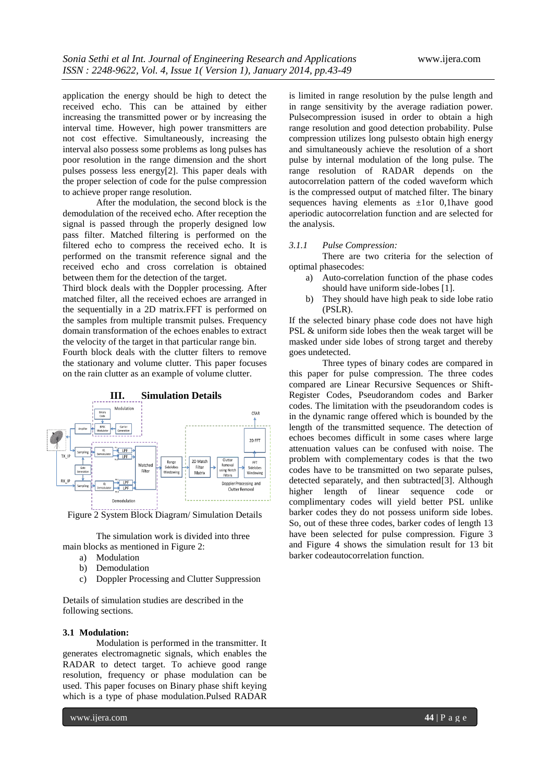application the energy should be high to detect the received echo. This can be attained by either increasing the transmitted power or by increasing the interval time. However, high power transmitters are not cost effective. Simultaneously, increasing the interval also possess some problems as long pulses has poor resolution in the range dimension and the short pulses possess less energy[2]. This paper deals with the proper selection of code for the pulse compression to achieve proper range resolution.

After the modulation, the second block is the demodulation of the received echo. After reception the signal is passed through the properly designed low pass filter. Matched filtering is performed on the filtered echo to compress the received echo. It is performed on the transmit reference signal and the received echo and cross correlation is obtained between them for the detection of the target.

Third block deals with the Doppler processing. After matched filter, all the received echoes are arranged in the sequentially in a 2D matrix.FFT is performed on the samples from multiple transmit pulses. Frequency domain transformation of the echoes enables to extract the velocity of the target in that particular range bin.

Fourth block deals with the clutter filters to remove the stationary and volume clutter. This paper focuses on the rain clutter as an example of volume clutter.



Figure 2 System Block Diagram/ Simulation Details

The simulation work is divided into three main blocks as mentioned in Figure 2:

- a) Modulation
- b) Demodulation
- c) Doppler Processing and Clutter Suppression

Details of simulation studies are described in the following sections.

## **3.1 Modulation:**

Modulation is performed in the transmitter. It generates electromagnetic signals, which enables the RADAR to detect target. To achieve good range resolution, frequency or phase modulation can be used. This paper focuses on Binary phase shift keying which is a type of phase modulation.Pulsed RADAR

is limited in range resolution by the pulse length and in range sensitivity by the average radiation power. Pulsecompression isused in order to obtain a high range resolution and good detection probability. Pulse compression utilizes long pulsesto obtain high energy and simultaneously achieve the resolution of a short pulse by internal modulation of the long pulse. The range resolution of RADAR depends on the autocorrelation pattern of the coded waveform which is the compressed output of matched filter. The binary sequences having elements as ±1or 0,1have good aperiodic autocorrelation function and are selected for the analysis.

## *3.1.1 Pulse Compression:*

There are two criteria for the selection of optimal phasecodes:

- a) Auto-correlation function of the phase codes should have uniform side-lobes [1].
- b) They should have high peak to side lobe ratio (PSLR).

If the selected binary phase code does not have high PSL & uniform side lobes then the weak target will be masked under side lobes of strong target and thereby goes undetected.

Three types of binary codes are compared in this paper for pulse compression. The three codes compared are Linear Recursive Sequences or Shift-Register Codes, Pseudorandom codes and Barker codes. The limitation with the pseudorandom codes is in the dynamic range offered which is bounded by the length of the transmitted sequence. The detection of echoes becomes difficult in some cases where large attenuation values can be confused with noise. The problem with complementary codes is that the two codes have to be transmitted on two separate pulses, detected separately, and then subtracted[3]. Although higher length of linear sequence code or complimentary codes will yield better PSL unlike barker codes they do not possess uniform side lobes. So, out of these three codes, barker codes of length 13 have been selected for pulse compression. Figure 3 and Figure 4 shows the simulation result for 13 bit barker codeautocorrelation function.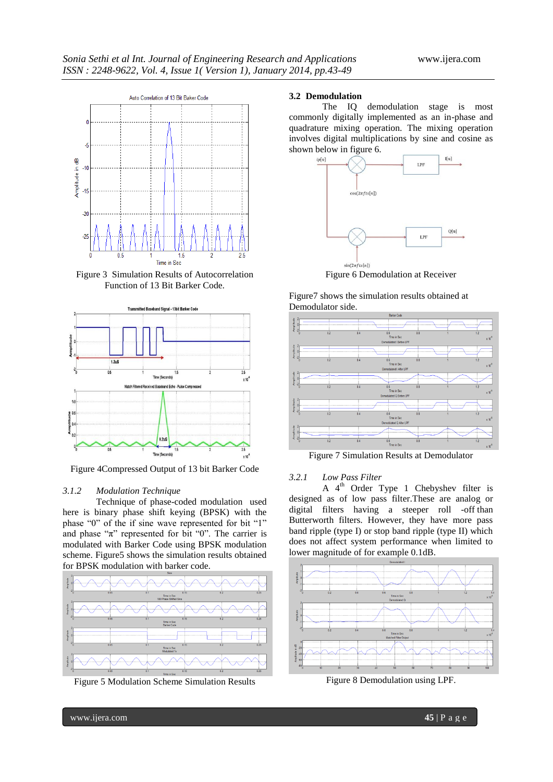

Figure 3 Simulation Results of Autocorrelation Function of 13 Bit Barker Code.



Figure 4Compressed Output of 13 bit Barker Code

## *3.1.2 Modulation Technique*

Technique of phase-coded modulation used here is binary phase shift keying (BPSK) with the phase "0" of the if sine wave represented for bit "1" and phase " $\pi$ " represented for bit "0". The carrier is modulated with Barker Code using BPSK modulation scheme. Figure5 shows the simulation results obtained for BPSK modulation with barker code.



Figure 5 Modulation Scheme Simulation Results

### **3.2 Demodulation**

The IQ demodulation stage is most commonly digitally implemented as an in-phase and quadrature mixing operation. The mixing operation involves digital multiplications by sine and cosine as shown below in figure 6.



Figure 6 Demodulation at Receiver





Figure 7 Simulation Results at Demodulator

## *3.2.1 Low Pass Filter*

A  $4<sup>th</sup>$  Order Type 1 Chebyshev filter is designed as of low pass filter.These are analog or digital filters having a steeper roll -off than Butterworth filters. However, they have more pass band ripple (type I) or stop band ripple (type II) which does not affect system performance when limited to lower magnitude of for example 0.1dB.



Figure 8 Demodulation using LPF.

www.ijera.com **45** | P a g e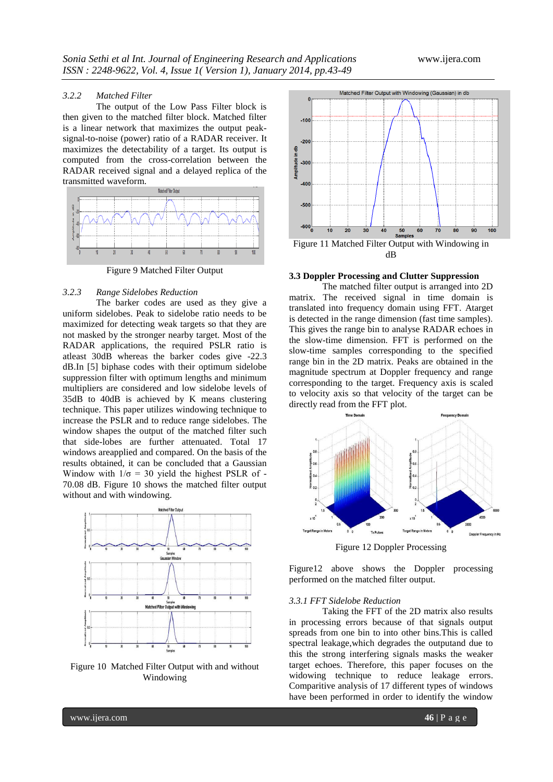## *3.2.2 Matched Filter*

The output of the Low Pass Filter block is then given to the matched filter block. Matched filter is a linear network that maximizes the output peaksignal-to-noise (power) ratio of a RADAR receiver. It maximizes the detectability of a target. Its output is computed from the cross-correlation between the RADAR received signal and a delayed replica of the transmitted waveform.



Figure 9 Matched Filter Output

# *3.2.3 Range Sidelobes Reduction*

The barker codes are used as they give a uniform sidelobes. Peak to sidelobe ratio needs to be maximized for detecting weak targets so that they are not masked by the stronger nearby target. Most of the RADAR applications, the required PSLR ratio is atleast 30dB whereas the barker codes give -22.3 dB.In [5] biphase codes with their optimum sidelobe suppression filter with optimum lengths and minimum multipliers are considered and low sidelobe levels of 35dB to 40dB is achieved by K means clustering technique. This paper utilizes windowing technique to increase the PSLR and to reduce range sidelobes. The window shapes the output of the matched filter such that side-lobes are further attenuated. Total 17 windows areapplied and compared. On the basis of the results obtained, it can be concluded that a Gaussian Window with  $1/\sigma = 30$  yield the highest PSLR of -70.08 dB. Figure 10 shows the matched filter output without and with windowing.



Figure 10 Matched Filter Output with and without Windowing



#### **3.3 Doppler Processing and Clutter Suppression**

The matched filter output is arranged into 2D matrix. The received signal in time domain is translated into frequency domain using FFT. Atarget is detected in the range dimension (fast time samples). This gives the range bin to analyse RADAR echoes in the slow-time dimension. FFT is performed on the slow-time samples corresponding to the specified range bin in the 2D matrix. Peaks are obtained in the magnitude spectrum at Doppler frequency and range corresponding to the target. Frequency axis is scaled to velocity axis so that velocity of the target can be directly read from the FFT plot.



Figure 12 Doppler Processing

Figure12 above shows the Doppler processing performed on the matched filter output.

#### *3.3.1 FFT Sidelobe Reduction*

Taking the FFT of the 2D matrix also results in processing errors because of that signals output spreads from one bin to into other bins.This is called spectral leakage,which degrades the outputand due to this the strong interfering signals masks the weaker target echoes. Therefore, this paper focuses on the widowing technique to reduce leakage errors. Comparitive analysis of 17 different types of windows have been performed in order to identify the window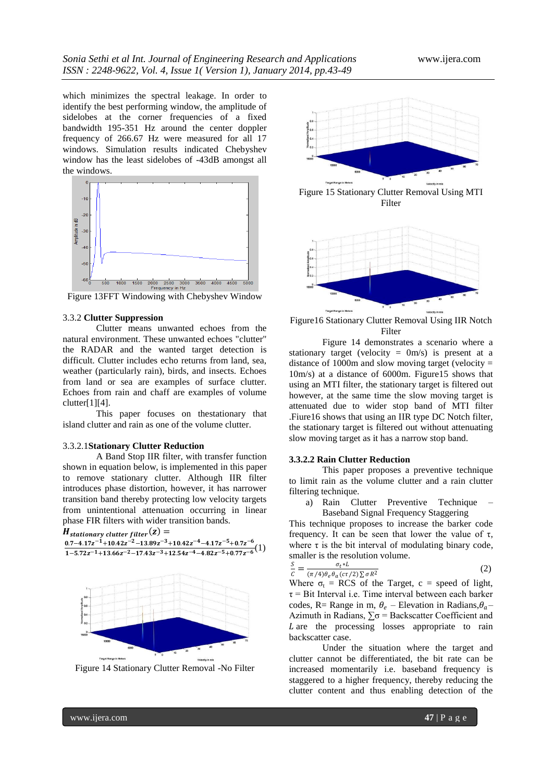which minimizes the spectral leakage. In order to identify the best performing window, the amplitude of sidelobes at the corner frequencies of a fixed bandwidth 195-351 Hz around the center doppler frequency of 266.67 Hz were measured for all 17 windows. Simulation results indicated Chebyshev window has the least sidelobes of -43dB amongst all the windows.



Figure 13FFT Windowing with Chebyshev Window

#### 3.3.2 **Clutter Suppression**

Clutter means unwanted echoes from the natural environment. These unwanted echoes "clutter" the RADAR and the wanted target detection is difficult. Clutter includes echo returns from land, sea, weather (particularly rain), birds, and insects. Echoes from land or sea are examples of surface clutter. Echoes from rain and chaff are examples of volume clutter[1][4].

This paper focuses on thestationary that island clutter and rain as one of the volume clutter.

#### 3.3.2.1**Stationary Clutter Reduction**

A Band Stop IIR filter, with transfer function shown in equation below, is implemented in this paper to remove stationary clutter. Although IIR filter introduces phase distortion, however, it has narrower transition band thereby protecting low velocity targets from unintentional attenuation occurring in linear phase FIR filters with wider transition bands.



Figure 14 Stationary Clutter Removal -No Filter



Figure16 Stationary Clutter Removal Using IIR Notch Filter

Figure 14 demonstrates a scenario where a stationary target (velocity =  $0m/s$ ) is present at a distance of 1000m and slow moving target (velocity  $=$ 10m/s) at a distance of 6000m. Figure15 shows that using an MTI filter, the stationary target is filtered out however, at the same time the slow moving target is attenuated due to wider stop band of MTI filter .Fiure16 shows that using an IIR type DC Notch filter, the stationary target is filtered out without attenuating slow moving target as it has a narrow stop band.

#### **3.3.2.2 Rain Clutter Reduction**

This paper proposes a preventive technique to limit rain as the volume clutter and a rain clutter filtering technique.

a) Rain Clutter Preventive Technique Baseband Signal Frequency Staggering

This technique proposes to increase the barker code frequency. It can be seen that lower the value of  $\tau$ , where  $\tau$  is the bit interval of modulating binary code, smaller is the resolution volume.

$$
\frac{S}{c} = \frac{\sigma_t * L}{(\pi/4)\theta_e \theta_a (c\tau/2) \sum \sigma R^2}
$$
(2)

Where  $\sigma_t$  = RCS of the Target, c = speed of light,  $\tau$  = Bit Interval i.e. Time interval between each barker codes, R= Range in m,  $\theta_e$  – Elevation in Radians,  $\theta_a$ – Azimuth in Radians,  $\Sigma \sigma$  = Backscatter Coefficient and  $L$  are the processing losses appropriate to rain backscatter case.

Under the situation where the target and clutter cannot be differentiated, the bit rate can be increased momentarily i.e. baseband frequency is staggered to a higher frequency, thereby reducing the clutter content and thus enabling detection of the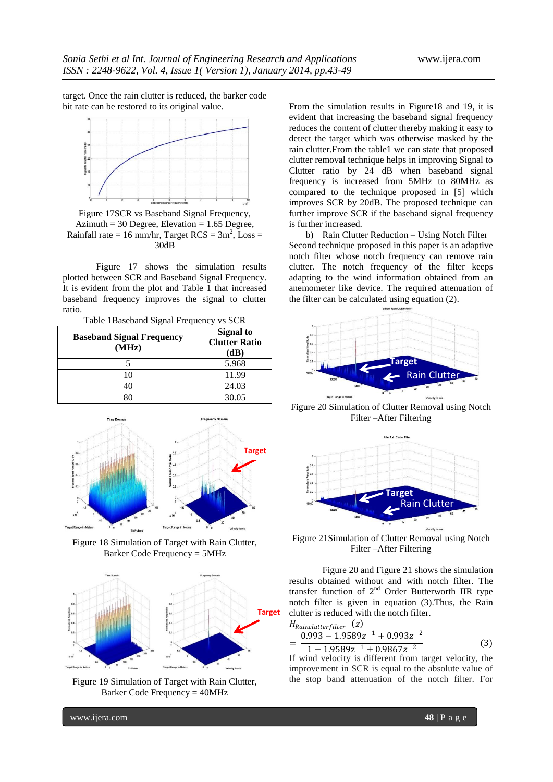target. Once the rain clutter is reduced, the barker code bit rate can be restored to its original value.



Figure 17SCR vs Baseband Signal Frequency, Azimuth = 30 Degree, Elevation =  $1.65$  Degree, Rainfall rate = 16 mm/hr, Target  $RCS = 3m^2$ , Loss = 30dB

Figure 17 shows the simulation results plotted between SCR and Baseband Signal Frequency. It is evident from the plot and Table 1 that increased baseband frequency improves the signal to clutter ratio.

Table 1Baseband Signal Frequency vs SCR

| <b>Baseband Signal Frequency</b><br>(MHz) | <b>Signal to</b><br><b>Clutter Ratio</b><br>(dB) |
|-------------------------------------------|--------------------------------------------------|
|                                           | 5.968                                            |
| ۱0                                        | 11.99                                            |
|                                           | 24.03                                            |
|                                           | 30.05                                            |



Figure 18 Simulation of Target with Rain Clutter, Barker Code Frequency = 5MHz



Figure 19 Simulation of Target with Rain Clutter, Barker Code Frequency = 40MHz

From the simulation results in Figure18 and 19, it is evident that increasing the baseband signal frequency reduces the content of clutter thereby making it easy to detect the target which was otherwise masked by the rain clutter.From the table1 we can state that proposed clutter removal technique helps in improving Signal to Clutter ratio by 24 dB when baseband signal frequency is increased from 5MHz to 80MHz as compared to the technique proposed in [5] which improves SCR by 20dB. The proposed technique can further improve SCR if the baseband signal frequency is further increased.

b) Rain Clutter Reduction – Using Notch Filter Second technique proposed in this paper is an adaptive notch filter whose notch frequency can remove rain clutter. The notch frequency of the filter keeps adapting to the wind information obtained from an anemometer like device. The required attenuation of the filter can be calculated using equation (2).



Figure 20 Simulation of Clutter Removal using Notch Filter –After Filtering



Figure 21Simulation of Clutter Removal using Notch Filter –After Filtering

Figure 20 and Figure 21 shows the simulation results obtained without and with notch filter. The transfer function of  $2<sup>nd</sup>$  Order Butterworth IIR type notch filter is given in equation (3).Thus, the Rain clutter is reduced with the notch filter.

$$
HRainclutterfilter (z)
$$
  
= 
$$
\frac{0.993 - 1.9589z^{-1} + 0.993z^{-2}}{1 - 1.9589z^{-1} + 0.9867z^{-2}}
$$
 (3)

If wind velocity is different from target velocity, the improvement in SCR is equal to the absolute value of the stop band attenuation of the notch filter. For

www.ijera.com **48** | P a g e